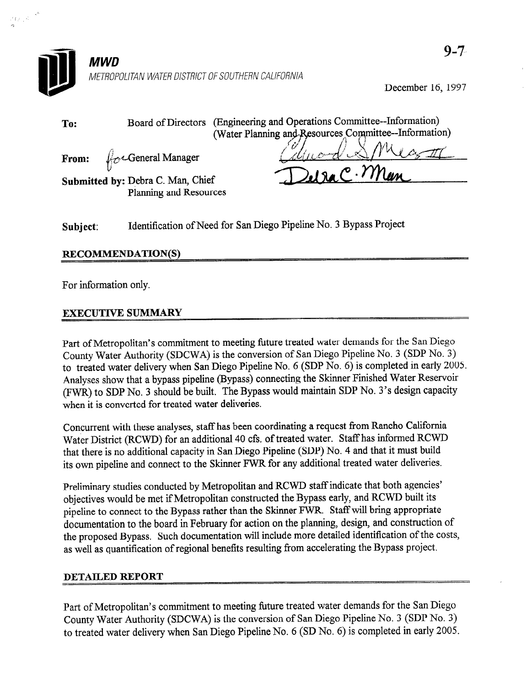

December 16, 1997

| To:      | (Engineering and Operations Committee--Information)<br><b>Board of Directors</b><br>(Water Planning and Resources Committee--Information) |
|----------|-------------------------------------------------------------------------------------------------------------------------------------------|
|          | From: $\oint_C \sim$ General Manager<br>$2.190$ $C.7$ $M$ un<br>Submitted by: Debra C. Man, Chief<br>Planning and Resources               |
| Subject: | Identification of Need for San Diego Pipeline No. 3 Bypass Project                                                                        |

## RECOMMENDATION(S)

For information only.

 $\langle\hat{1}x_2\hat{3}\rangle$ 

## EXECUTIVE SUMMARY

Part of Metropolitan's commitment to meeting future treated water demands for the San Diego County Water Authority (SDCWA) is the conversion of San Diego Pipeline No. 3 (SDP No. 3) to treated water delivery when San Diego Pipeline No. 6 (SDP No. 6) is completed in early 2005. Analyses show that a bypass pipeline (Bypass) connecting the Skinner Finished Water Reservoir (FWR) to SDP No. 3 should be built. The Bypass would maintain SDP No. 3's design capacity when it is converted for treated water deliveries.

Concurrent with these analyses, staff has been coordinating a request from Rancho California Water District (RCWD) for an additional 40 cfs. of treated water. Staff has informed RCWD that there is no additional capacity in San Diego Pipeline (SDP) No. 4 and that it must build its own pipeline and connect to the Skinner FWR for any additional treated water deliveries.

Preliminary studies conducted by Metropolitan and RCWD staff indicate that both agencies' objectives would be met ifMetropolitan constructed the Bypass early, and RCWD built its pipeline to connect to the Bypass rather than the Skinner FWR. Staff will bring appropriate documentation to the board in February for action on the planning, design, and construction of the proposed Bypass. Such documentation will include more detailed identification of the costs, as well as quantification of regional benefits resulting from accelerating the Bypass project.

## DETAILED REPORT

Part of Metropolitan's commitment to meeting future treated water demands for the San Diego County Water Authority (SDCWA) is the conversion of San Diego Pipeline No. 3 (SDP No. 3) to treated water delivery when San Diego Pipeline No. 6 (SD No. 6) is completed in early 2005.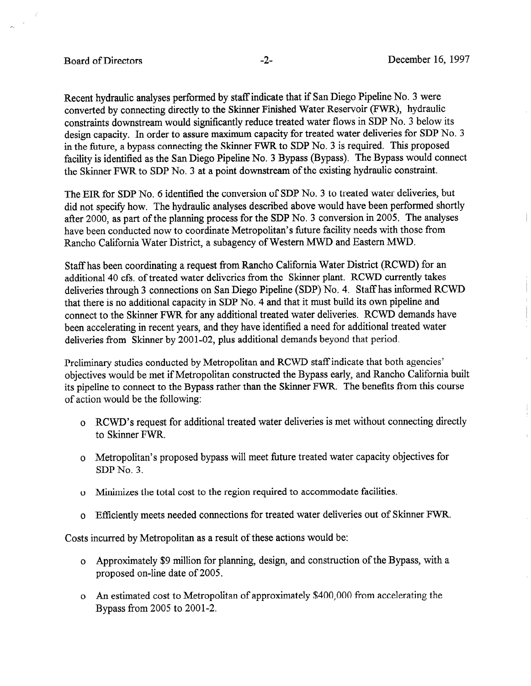j

Recent hydraulic analyses performed by staff indicate that if San Diego Pipeline No. 3 were converted by connecting directly to the Skinner Finished Water Reservoir (FWR), hydraulic constraints downstream would significantly reduce treated water flows in SDP No. 3 below its design capacity. In order to assure maximum capacity for treated water deliveries for SDP No. 3 in the future, a bypass connecting the Skinner FWR to SDP No. 3 is required. This proposed facility is identified as the San Diego Pipeline No. 3 Bypass (Bypass). The Bypass would connect the Skinner FWR to SDP No. 3 at a point downstream of the existing hydraulic constraint.

The EIR for SDP No. 6 identified the conversion of SDP No. 3 to treated water deliveries, but did not specify how. The hydraulic analyses described above would have been performed shortly after 2000, as part of the planning process for the SDP No. 3 conversion in 2005. The analyses have been conducted now to coordinate Metropolitan's future facility needs with those from Ranch0 California Water District, a subagency of Western MWD and Eastern MWD.

Staff has been coordinating a request from Rancho California Water District (RCWD) for an additional 40 cfs. of treated water deliveries from the Skinner plant. RCWD currently takes deliveries through 3 connections on San Diego Pipeline (SDP) No. 4. Staff has informed RCWD that there is no additional capacity in SDP No. 4 and that it must build its own pipeline and connect to the Skinner FWR for any additional treated water deliveries. RCWD demands have been accelerating in recent years, and they have identified a need for additional treated water deliveries from Skinner by 2001-02, plus additional demands beyond that period.

Preliminary studies conducted by Metropolitan and RCWD staff indicate that both agencies' objectives would be met if Metropolitan constructed the Bypass early, and Rancho California built its pipeline to connect to the Bypass rather than the Skinner FWR. The benefits from this course of action would be the following:

- o RCWD's request for additional treated water deliveries is met without connecting directly to Skinner FWR.
- o Metropolitan's proposed bypass will meet future treated water capacity objectives for  $SDP$  N<sub>o</sub> $3$ .
- o Minimizes the total cost to the region required to accommodate facilities.
- o Efficiently meets needed connections for treated water deliveries out of Skinner FWR.

Costs incurred by Metropolitan as a result of these actions would be:

- o Approximately \$9 million for planning, design, and construction of the Bypass, with a proposed on-line date of 2005.
- o An estimated cost to Metropolitan of approximately \$400,000 from accelerating the Bypass from 2005 to 2001-2.